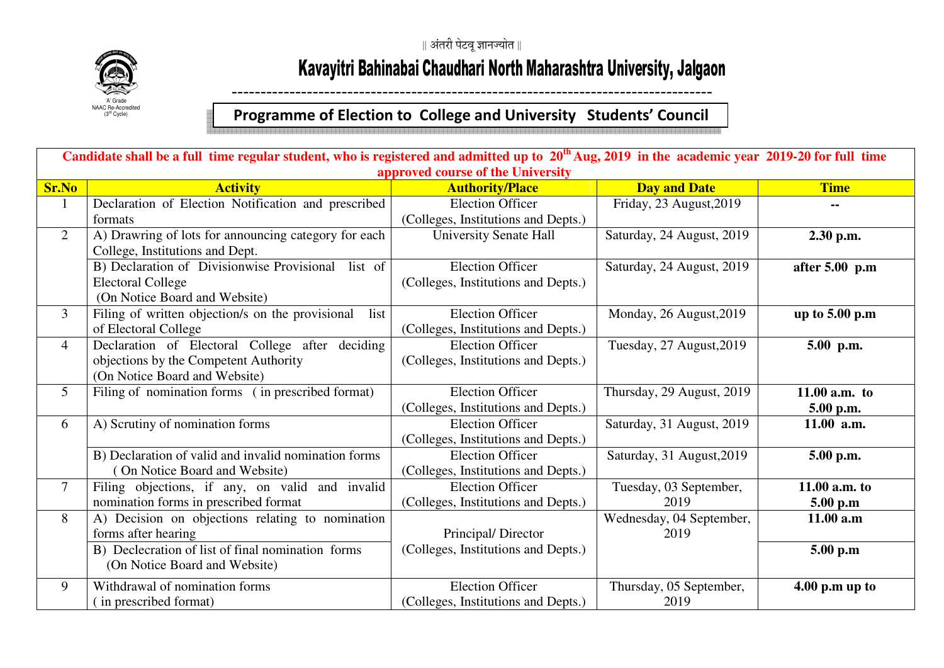

## Kavayitri Bahinabai Chaudhari North Maharashtra University, Jalgaon

## ----------------------------------------------------------------------------------- **Programme of Election to College and University Students' Council**

| Candidate shall be a full time regular student, who is registered and admitted up to $20th$ Aug, 2019 in the academic year 2019-20 for full time |                                                          |                                     |                           |                  |  |
|--------------------------------------------------------------------------------------------------------------------------------------------------|----------------------------------------------------------|-------------------------------------|---------------------------|------------------|--|
| approved course of the University                                                                                                                |                                                          |                                     |                           |                  |  |
| <b>Sr.No</b>                                                                                                                                     | <b>Activity</b>                                          | <b>Authority/Place</b>              | <b>Day and Date</b>       | <b>Time</b>      |  |
| 1                                                                                                                                                | Declaration of Election Notification and prescribed      | <b>Election Officer</b>             | Friday, 23 August, 2019   |                  |  |
|                                                                                                                                                  | formats                                                  | (Colleges, Institutions and Depts.) |                           |                  |  |
| $\overline{2}$                                                                                                                                   | A) Drawring of lots for announcing category for each     | <b>University Senate Hall</b>       | Saturday, 24 August, 2019 | 2.30 p.m.        |  |
|                                                                                                                                                  | College, Institutions and Dept.                          |                                     |                           |                  |  |
|                                                                                                                                                  | B) Declaration of Divisionwise Provisional list of       | <b>Election Officer</b>             | Saturday, 24 August, 2019 | after $5.00$ p.m |  |
|                                                                                                                                                  | <b>Electoral College</b>                                 | (Colleges, Institutions and Depts.) |                           |                  |  |
|                                                                                                                                                  | (On Notice Board and Website)                            |                                     |                           |                  |  |
| $\overline{3}$                                                                                                                                   | Filing of written objection/s on the provisional<br>list | <b>Election Officer</b>             | Monday, 26 August, 2019   | up to $5.00$ p.m |  |
|                                                                                                                                                  | of Electoral College                                     | (Colleges, Institutions and Depts.) |                           |                  |  |
| $\overline{4}$                                                                                                                                   | Declaration of Electoral College after deciding          | <b>Election Officer</b>             | Tuesday, 27 August, 2019  | 5.00 p.m.        |  |
|                                                                                                                                                  | objections by the Competent Authority                    | (Colleges, Institutions and Depts.) |                           |                  |  |
|                                                                                                                                                  | (On Notice Board and Website)                            |                                     |                           |                  |  |
| 5                                                                                                                                                | Filing of nomination forms (in prescribed format)        | <b>Election Officer</b>             | Thursday, 29 August, 2019 | 11.00 $a.m.$ to  |  |
|                                                                                                                                                  |                                                          | (Colleges, Institutions and Depts.) |                           | 5.00 p.m.        |  |
| 6                                                                                                                                                | A) Scrutiny of nomination forms                          | <b>Election Officer</b>             | Saturday, 31 August, 2019 | 11.00 a.m.       |  |
|                                                                                                                                                  |                                                          | (Colleges, Institutions and Depts.) |                           |                  |  |
|                                                                                                                                                  | B) Declaration of valid and invalid nomination forms     | <b>Election Officer</b>             | Saturday, 31 August, 2019 | 5.00 p.m.        |  |
|                                                                                                                                                  | On Notice Board and Website)                             | (Colleges, Institutions and Depts.) |                           |                  |  |
| 7                                                                                                                                                | Filing objections, if any, on valid and invalid          | <b>Election Officer</b>             | Tuesday, 03 September,    | 11.00 a.m. to    |  |
|                                                                                                                                                  | nomination forms in prescribed format                    | (Colleges, Institutions and Depts.) | 2019                      | 5.00 p.m         |  |
| 8                                                                                                                                                | A) Decision on objections relating to nomination         |                                     | Wednesday, 04 September,  | 11.00 a.m        |  |
|                                                                                                                                                  | forms after hearing                                      | Principal/Director                  | 2019                      |                  |  |
|                                                                                                                                                  | B) Declecration of list of final nomination forms        | (Colleges, Institutions and Depts.) |                           | 5.00 p.m         |  |
|                                                                                                                                                  | (On Notice Board and Website)                            |                                     |                           |                  |  |
| 9                                                                                                                                                | Withdrawal of nomination forms                           | <b>Election Officer</b>             | Thursday, 05 September,   | $4.00$ p.m up to |  |
|                                                                                                                                                  | (in prescribed format)                                   | (Colleges, Institutions and Depts.) | 2019                      |                  |  |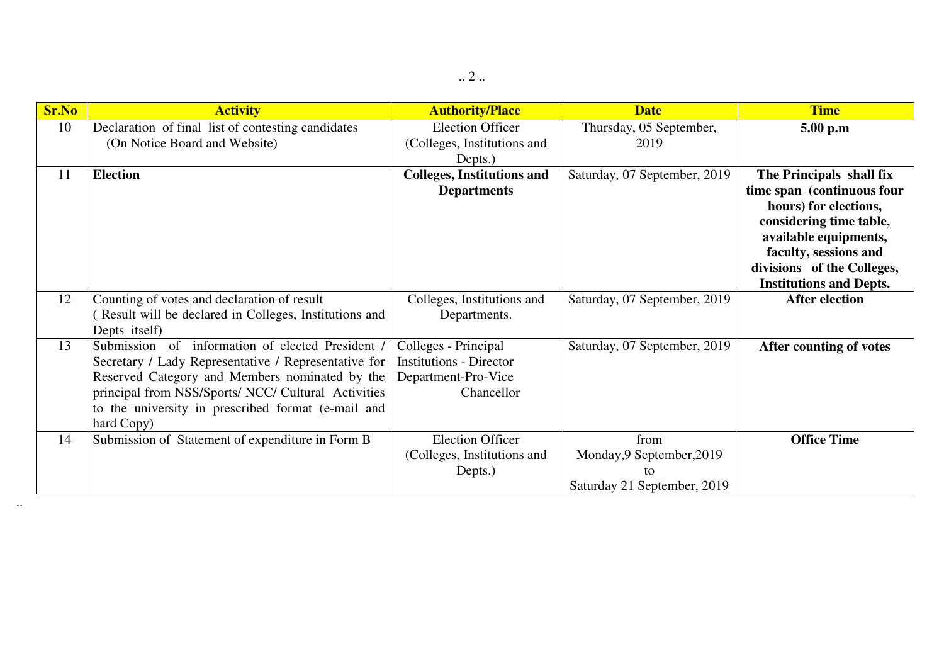| <b>Sr.No</b> | <b>Activity</b>                                                   | <b>Authority/Place</b>            | <b>Date</b>                  | <b>Time</b>                    |
|--------------|-------------------------------------------------------------------|-----------------------------------|------------------------------|--------------------------------|
| 10           | Declaration of final list of contesting candidates                | <b>Election Officer</b>           | Thursday, 05 September,      | 5.00 p.m                       |
|              | (On Notice Board and Website)                                     | (Colleges, Institutions and       | 2019                         |                                |
|              |                                                                   | Depts.)                           |                              |                                |
| 11           | <b>Election</b>                                                   | <b>Colleges, Institutions and</b> | Saturday, 07 September, 2019 | The Principals shall fix       |
|              |                                                                   | <b>Departments</b>                |                              | time span (continuous four     |
|              |                                                                   |                                   |                              | hours) for elections,          |
|              |                                                                   |                                   |                              | considering time table,        |
|              |                                                                   |                                   |                              | available equipments,          |
|              |                                                                   |                                   |                              | faculty, sessions and          |
|              |                                                                   |                                   |                              | divisions of the Colleges,     |
|              |                                                                   |                                   |                              | <b>Institutions and Depts.</b> |
| 12           | Counting of votes and declaration of result                       | Colleges, Institutions and        | Saturday, 07 September, 2019 | <b>After election</b>          |
|              | Result will be declared in Colleges, Institutions and             | Departments.                      |                              |                                |
| 13           | Depts itself)<br>Submission of information of elected President / | Colleges - Principal              | Saturday, 07 September, 2019 |                                |
|              | Secretary / Lady Representative / Representative for              | <b>Institutions - Director</b>    |                              | After counting of votes        |
|              | Reserved Category and Members nominated by the                    | Department-Pro-Vice               |                              |                                |
|              | principal from NSS/Sports/ NCC/ Cultural Activities               | Chancellor                        |                              |                                |
|              | to the university in prescribed format (e-mail and                |                                   |                              |                                |
|              | hard Copy)                                                        |                                   |                              |                                |
| 14           | Submission of Statement of expenditure in Form B                  | <b>Election Officer</b>           | from                         | <b>Office Time</b>             |
|              |                                                                   | (Colleges, Institutions and       | Monday, 9 September, 2019    |                                |
|              |                                                                   | Depts.)                           | to                           |                                |
|              |                                                                   |                                   | Saturday 21 September, 2019  |                                |

..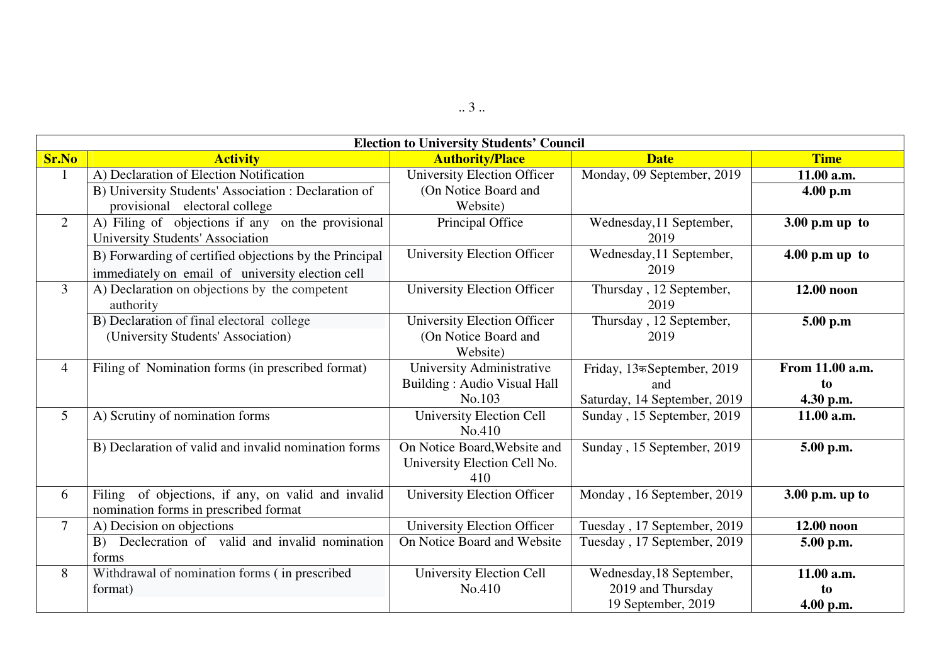| <b>Election to University Students' Council</b> |                                                        |                                    |                              |                   |
|-------------------------------------------------|--------------------------------------------------------|------------------------------------|------------------------------|-------------------|
| <b>Sr.No</b>                                    | <b>Activity</b>                                        | <b>Authority/Place</b>             | <b>Date</b>                  | <b>Time</b>       |
|                                                 | A) Declaration of Election Notification                | University Election Officer        | Monday, 09 September, 2019   | 11.00 a.m.        |
|                                                 | B) University Students' Association : Declaration of   | (On Notice Board and               |                              | 4.00 p.m          |
|                                                 | provisional electoral college                          | Website)                           |                              |                   |
| $\overline{2}$                                  | A) Filing of objections if any on the provisional      | Principal Office                   | Wednesday, 11 September,     | $3.00$ p.m up to  |
|                                                 | University Students' Association                       |                                    | 2019                         |                   |
|                                                 | B) Forwarding of certified objections by the Principal | <b>University Election Officer</b> | Wednesday, 11 September,     | $4.00$ p.m up to  |
|                                                 | immediately on email of university election cell       |                                    | 2019                         |                   |
| $\overline{3}$                                  | A) Declaration on objections by the competent          | <b>University Election Officer</b> | Thursday, 12 September,      | 12.00 noon        |
|                                                 | authority                                              |                                    | 2019                         |                   |
|                                                 | B) Declaration of final electoral college              | <b>University Election Officer</b> | Thursday, 12 September,      | 5.00 p.m          |
|                                                 | (University Students' Association)                     | (On Notice Board and               | 2019                         |                   |
|                                                 |                                                        | Website)                           |                              |                   |
| $\overline{4}$                                  | Filing of Nomination forms (in prescribed format)      | University Administrative          | Friday, 13कSeptember, 2019   | From 11.00 a.m.   |
|                                                 |                                                        | <b>Building: Audio Visual Hall</b> | and                          | to                |
|                                                 |                                                        | No.103                             | Saturday, 14 September, 2019 | 4.30 p.m.         |
| 5 <sup>5</sup>                                  | A) Scrutiny of nomination forms                        | University Election Cell           | Sunday, 15 September, 2019   | 11.00 a.m.        |
|                                                 |                                                        | No.410                             |                              |                   |
|                                                 | B) Declaration of valid and invalid nomination forms   | On Notice Board, Website and       | Sunday, 15 September, 2019   | 5.00 p.m.         |
|                                                 |                                                        | University Election Cell No.       |                              |                   |
|                                                 |                                                        | 410                                |                              |                   |
| 6                                               | Filing of objections, if any, on valid and invalid     | University Election Officer        | Monday, 16 September, 2019   | $3.00$ p.m. up to |
|                                                 | nomination forms in prescribed format                  |                                    |                              |                   |
| $\overline{7}$                                  | A) Decision on objections                              | University Election Officer        | Tuesday, 17 September, 2019  | 12.00 noon        |
|                                                 | Declecration of valid and invalid nomination<br>B)     | On Notice Board and Website        | Tuesday, 17 September, 2019  | 5.00 p.m.         |
|                                                 | forms                                                  |                                    |                              |                   |
| 8                                               | Withdrawal of nomination forms (in prescribed          | University Election Cell           | Wednesday, 18 September,     | 11.00 a.m.        |
|                                                 | format)                                                | No.410                             | 2019 and Thursday            | to                |
|                                                 |                                                        |                                    | 19 September, 2019           | 4.00 p.m.         |